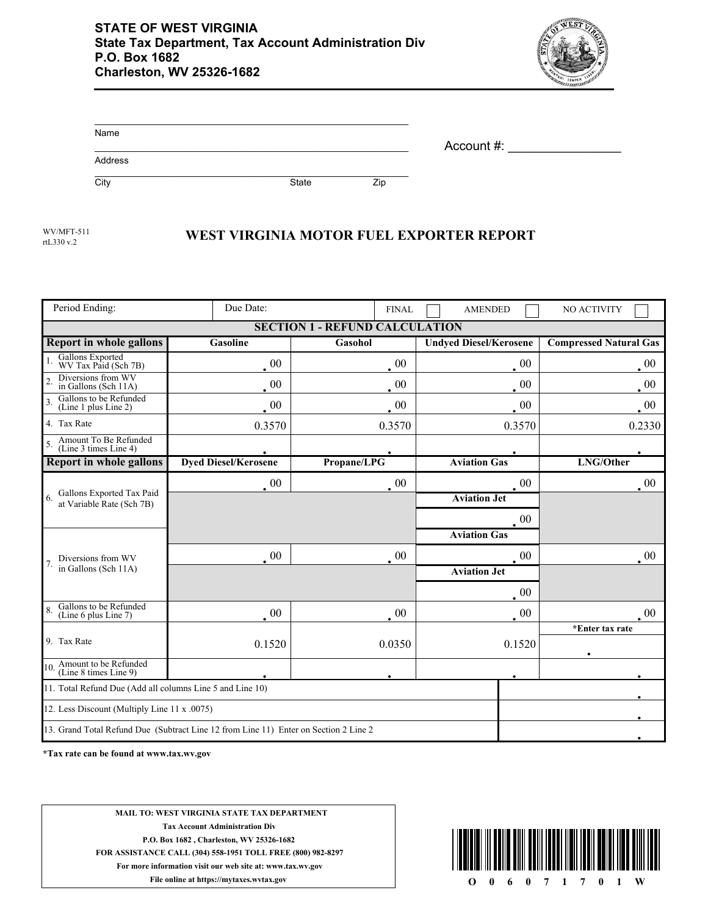

| Name    |              |     | Account #: |
|---------|--------------|-----|------------|
| Address |              |     |            |
| City    | <b>State</b> | Zip |            |

rtL330 v.2

## WV/MFT-511<br>WEST VIRGINIA MOTOR FUEL EXPORTER REPORT

| Period Ending:                                                                       | Due Date:                   | <b>FINAL</b> | <b>AMENDED</b>                | NO ACTIVITY                   |  |  |  |
|--------------------------------------------------------------------------------------|-----------------------------|--------------|-------------------------------|-------------------------------|--|--|--|
| <b>SECTION 1 - REFUND CALCULATION</b>                                                |                             |              |                               |                               |  |  |  |
| <b>Report in whole gallons</b>                                                       | Gasoline                    | Gasohol      | <b>Undyed Diesel/Kerosene</b> | <b>Compressed Natural Gas</b> |  |  |  |
| Gallons Exported<br>WV Tax Paid (Sch 7B)                                             | $00\,$                      | $00\,$       | $00\,$                        | $00\,$                        |  |  |  |
| Diversions from WV<br>in Gallons (Sch 11A)                                           | $\cdot$ 00                  | $00\,$       | $00\,$                        | 00                            |  |  |  |
| Gallons to be Refunded<br>$\overline{\mathbf{3}}$<br>(Line 1 plus Line 2)            | $\cdot$ 00                  | $\cdot$ 00   | $00\,$                        | $\cdot$ 00                    |  |  |  |
| 4. Tax Rate                                                                          | 0.3570                      | 0.3570       | 0.3570                        | 0.2330                        |  |  |  |
| Amount To Be Refunded<br>(Line 3 times Line 4)                                       |                             |              |                               |                               |  |  |  |
| <b>Report in whole gallons</b>                                                       | <b>Dyed Diesel/Kerosene</b> | Propane/LPG  | <b>Aviation Gas</b>           | LNG/Other                     |  |  |  |
| Gallons Exported Tax Paid<br>6.<br>at Variable Rate (Sch 7B)                         | $\cdot$ 00                  | $\cdot$ 00   | 00                            | $00\,$                        |  |  |  |
|                                                                                      |                             |              | <b>Aviation Jet</b>           |                               |  |  |  |
|                                                                                      |                             |              | $00\,$                        |                               |  |  |  |
|                                                                                      |                             |              | <b>Aviation Gas</b>           |                               |  |  |  |
| Diversions from WV<br>in Gallons (Sch 11A)                                           | $00\,$                      | $00\,$       | $00\,$                        | $00\,$                        |  |  |  |
|                                                                                      |                             |              | <b>Aviation Jet</b>           |                               |  |  |  |
|                                                                                      |                             |              | 00                            |                               |  |  |  |
| Gallons to be Refunded<br>(Line 6 plus Line 7)                                       | $\cdot$ 00                  | $00\,$       | $\cdot$ 00                    | $00\,$                        |  |  |  |
| 9. Tax Rate                                                                          |                             |              |                               | *Enter tax rate               |  |  |  |
|                                                                                      | 0.1520                      | 0.0350       | 0.1520                        |                               |  |  |  |
| 10. Amount to be Refunded<br>(Line 8 times Line 9)                                   |                             |              |                               |                               |  |  |  |
| 11. Total Refund Due (Add all columns Line 5 and Line 10)                            |                             |              |                               |                               |  |  |  |
| 12. Less Discount (Multiply Line 11 x .0075)                                         |                             |              |                               |                               |  |  |  |
| 13. Grand Total Refund Due (Subtract Line 12 from Line 11) Enter on Section 2 Line 2 |                             |              |                               |                               |  |  |  |

**\*Tax rate can be found at www.tax.wv.gov**

**MAIL TO: WEST VIRGINIA STATE TAX DEPARTMENT Tax Account Administration Div P.O. Box 1682 , Charleston, WV 25326-1682 FOR ASSISTANCE CALL (304) 558-1951 TOLL FREE (800) 982-8297 For more information visit our web site at: www.tax.wv.gov File online at https://mytaxes.wvtax.gov O** 0 6 0 7 1 7 0 1 W